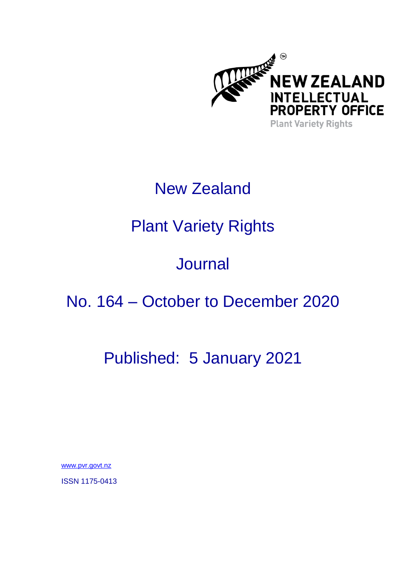

# New Zealand

# Plant Variety Rights

# **Journal**

## No. 164 – October to December 2020

## Published: 5 January 2021

[www.pvr.govt.nz](https://www.iponz.govt.nz/about-ip/pvr/)

ISSN 1175-0413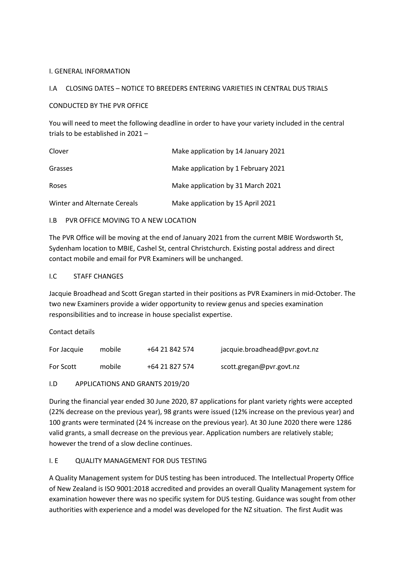#### I. GENERAL INFORMATION

#### I.A CLOSING DATES – NOTICE TO BREEDERS ENTERING VARIETIES IN CENTRAL DUS TRIALS

#### CONDUCTED BY THE PVR OFFICE

You will need to meet the following deadline in order to have your variety included in the central trials to be established in 2021 –

| Clover                       | Make application by 14 January 2021 |
|------------------------------|-------------------------------------|
| Grasses                      | Make application by 1 February 2021 |
| Roses                        | Make application by 31 March 2021   |
| Winter and Alternate Cereals | Make application by 15 April 2021   |

#### I.B PVR OFFICE MOVING TO A NEW LOCATION

The PVR Office will be moving at the end of January 2021 from the current MBIE Wordsworth St, Sydenham location to MBIE, Cashel St, central Christchurch. Existing postal address and direct contact mobile and email for PVR Examiners will be unchanged.

#### I.C STAFF CHANGES

Jacquie Broadhead and Scott Gregan started in their positions as PVR Examiners in mid-October. The two new Examiners provide a wider opportunity to review genus and species examination responsibilities and to increase in house specialist expertise.

Contact details

| For Jacquie      | mobile | +64 21 842 574 | jacquie.broadhead@pvr.govt.nz |
|------------------|--------|----------------|-------------------------------|
| <b>For Scott</b> | mobile | +64 21 827 574 | scott.gregan@pvr.govt.nz      |

#### I.D APPLICATIONS AND GRANTS 2019/20

During the financial year ended 30 June 2020, 87 applications for plant variety rights were accepted (22% decrease on the previous year), 98 grants were issued (12% increase on the previous year) and 100 grants were terminated (24 % increase on the previous year). At 30 June 2020 there were 1286 valid grants, a small decrease on the previous year. Application numbers are relatively stable; however the trend of a slow decline continues.

### I. E QUALITY MANAGEMENT FOR DUS TESTING

A Quality Management system for DUS testing has been introduced. The Intellectual Property Office of New Zealand is ISO 9001:2018 accredited and provides an overall Quality Management system for examination however there was no specific system for DUS testing. Guidance was sought from other authorities with experience and a model was developed for the NZ situation. The first Audit was